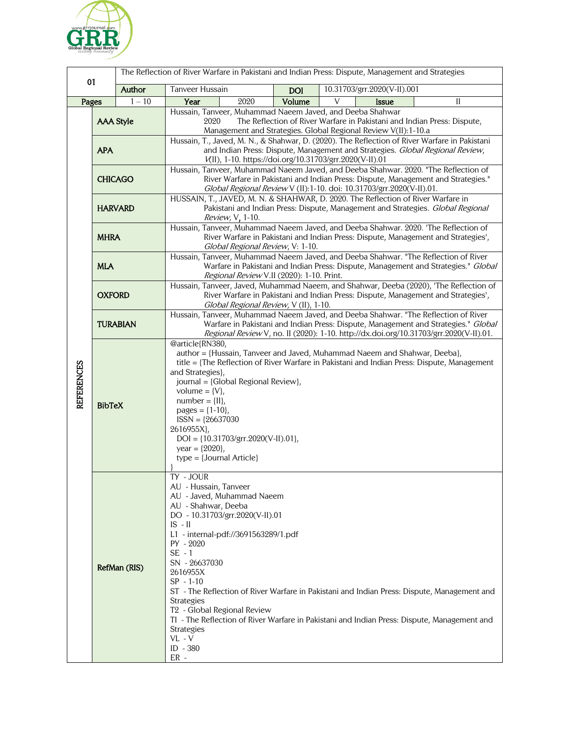

| 01         |                                                                                                                                                                                                                                                                                                                                                                                      |          | The Reflection of River Warfare in Pakistani and Indian Press: Dispute, Management and Strategies                                                                                                                                                                                                                                                                                                                                                           |            |                                                                                                                                                                                            |
|------------|--------------------------------------------------------------------------------------------------------------------------------------------------------------------------------------------------------------------------------------------------------------------------------------------------------------------------------------------------------------------------------------|----------|-------------------------------------------------------------------------------------------------------------------------------------------------------------------------------------------------------------------------------------------------------------------------------------------------------------------------------------------------------------------------------------------------------------------------------------------------------------|------------|--------------------------------------------------------------------------------------------------------------------------------------------------------------------------------------------|
|            |                                                                                                                                                                                                                                                                                                                                                                                      | Author   | Tanveer Hussain                                                                                                                                                                                                                                                                                                                                                                                                                                             | <b>DOI</b> | 10.31703/grr.2020(V-II).001                                                                                                                                                                |
| Pages      |                                                                                                                                                                                                                                                                                                                                                                                      | $1 - 10$ | Year<br>2020                                                                                                                                                                                                                                                                                                                                                                                                                                                | Volume     | V<br><b>Issue</b><br>П                                                                                                                                                                     |
| REFERENCES | <b>AAA Style</b>                                                                                                                                                                                                                                                                                                                                                                     |          | Hussain, Tanveer, Muhammad Naeem Javed, and Deeba Shahwar<br>2020<br>The Reflection of River Warfare in Pakistani and Indian Press: Dispute,<br>Management and Strategies. Global Regional Review V(II):1-10.a                                                                                                                                                                                                                                              |            |                                                                                                                                                                                            |
|            | <b>APA</b>                                                                                                                                                                                                                                                                                                                                                                           |          | Hussain, T., Javed, M. N., & Shahwar, D. (2020). The Reflection of River Warfare in Pakistani<br>and Indian Press: Dispute, Management and Strategies. Global Regional Review,<br>V(II), 1-10. https://doi.org/10.31703/grr.2020(V-II).01                                                                                                                                                                                                                   |            |                                                                                                                                                                                            |
|            | <b>CHICAGO</b>                                                                                                                                                                                                                                                                                                                                                                       |          | Hussain, Tanveer, Muhammad Naeem Javed, and Deeba Shahwar. 2020. "The Reflection of<br>River Warfare in Pakistani and Indian Press: Dispute, Management and Strategies."<br>Global Regional Review V (II):1-10. doi: 10.31703/grr.2020(V-II).01.                                                                                                                                                                                                            |            |                                                                                                                                                                                            |
|            | <b>HARVARD</b>                                                                                                                                                                                                                                                                                                                                                                       |          | HUSSAIN, T., JAVED, M. N. & SHAHWAR, D. 2020. The Reflection of River Warfare in<br>Pakistani and Indian Press: Dispute, Management and Strategies. Global Regional<br><i>Review, V</i> , 1-10.                                                                                                                                                                                                                                                             |            |                                                                                                                                                                                            |
|            | <b>MHRA</b>                                                                                                                                                                                                                                                                                                                                                                          |          | Hussain, Tanveer, Muhammad Naeem Javed, and Deeba Shahwar. 2020. 'The Reflection of<br>River Warfare in Pakistani and Indian Press: Dispute, Management and Strategies',<br>Global Regional Review, V: 1-10.                                                                                                                                                                                                                                                |            |                                                                                                                                                                                            |
|            | <b>MLA</b>                                                                                                                                                                                                                                                                                                                                                                           |          | Hussain, Tanveer, Muhammad Naeem Javed, and Deeba Shahwar. "The Reflection of River<br>Warfare in Pakistani and Indian Press: Dispute, Management and Strategies." Global<br>Regional Review V.II (2020): 1-10. Print.                                                                                                                                                                                                                                      |            |                                                                                                                                                                                            |
|            | <b>OXFORD</b>                                                                                                                                                                                                                                                                                                                                                                        |          | Hussain, Tanveer, Javed, Muhammad Naeem, and Shahwar, Deeba (2020), 'The Reflection of<br>River Warfare in Pakistani and Indian Press: Dispute, Management and Strategies',<br>Global Regional Review, V (II), 1-10.                                                                                                                                                                                                                                        |            |                                                                                                                                                                                            |
|            | <b>TURABIAN</b>                                                                                                                                                                                                                                                                                                                                                                      |          | Hussain, Tanveer, Muhammad Naeem Javed, and Deeba Shahwar. "The Reflection of River<br>Warfare in Pakistani and Indian Press: Dispute, Management and Strategies." Global<br>Regional Review V, no. II (2020): 1-10. http://dx.doi.org/10.31703/grr.2020(V-II).01.                                                                                                                                                                                          |            |                                                                                                                                                                                            |
|            | <b>BibTeX</b>                                                                                                                                                                                                                                                                                                                                                                        |          | @article{RN380,<br>author = {Hussain, Tanveer and Javed, Muhammad Naeem and Shahwar, Deeba},<br>title = {The Reflection of River Warfare in Pakistani and Indian Press: Dispute, Management<br>and Strategies},<br>journal = {Global Regional Review},<br>volume = $\{V\}$ ,<br>$number = \{II\},$<br>pages = ${1-10}$ ,<br>$ISSN = {26637030}$<br>2616955X},<br>$DOI = \{10.31703/grr.2020(V-II).01\},$<br>year = ${2020}$ ,<br>$type = {Journal Article}$ |            |                                                                                                                                                                                            |
|            | TY - JOUR<br>AU - Hussain, Tanveer<br>AU - Javed, Muhammad Naeem<br>AU - Shahwar, Deeba<br>DO - 10.31703/grr.2020(V-II).01<br>$IS - II$<br>L1 - internal-pdf://3691563289/1.pdf<br>PY - 2020<br>$SE - 1$<br>SN - 26637030<br>RefMan (RIS)<br>2616955X<br>$SP - 1-10$<br>Strategies<br>T <sub>2</sub> - Global Regional Review<br><b>Strategies</b><br>$VL - V$<br>ID - 380<br>$ER -$ |          |                                                                                                                                                                                                                                                                                                                                                                                                                                                             |            | ST - The Reflection of River Warfare in Pakistani and Indian Press: Dispute, Management and<br>TI - The Reflection of River Warfare in Pakistani and Indian Press: Dispute, Management and |